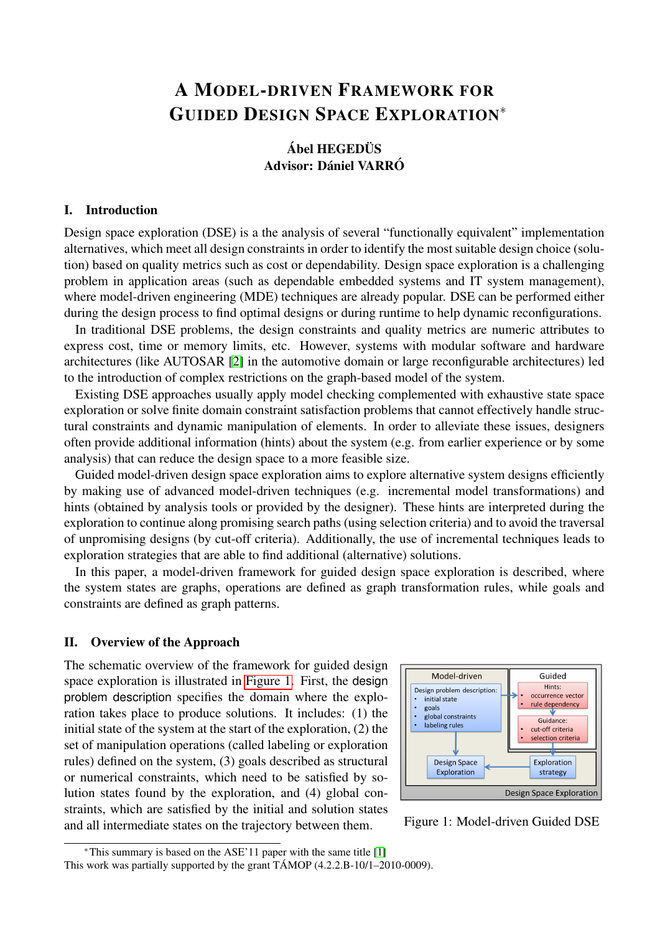# A MODEL-DRIVEN FRAMEWORK FOR GUIDED DESIGN SPACE EXPLORATION<sup>∗</sup>

# **Ábel HEGEDÜS** Advisor: Dániel VARRÓ

#### I. Introduction

Design space exploration (DSE) is a the analysis of several "functionally equivalent" implementation alternatives, which meet all design constraints in order to identify the most suitable design choice (solution) based on quality metrics such as cost or dependability. Design space exploration is a challenging problem in application areas (such as dependable embedded systems and IT system management), where model-driven engineering (MDE) techniques are already popular. DSE can be performed either during the design process to find optimal designs or during runtime to help dynamic reconfigurations.

In traditional DSE problems, the design constraints and quality metrics are numeric attributes to express cost, time or memory limits, etc. However, systems with modular software and hardware architectures (like AUTOSAR [\[2\]](#page-3-0) in the automotive domain or large reconfigurable architectures) led to the introduction of complex restrictions on the graph-based model of the system.

Existing DSE approaches usually apply model checking complemented with exhaustive state space exploration or solve finite domain constraint satisfaction problems that cannot effectively handle structural constraints and dynamic manipulation of elements. In order to alleviate these issues, designers often provide additional information (hints) about the system (e.g. from earlier experience or by some analysis) that can reduce the design space to a more feasible size.

Guided model-driven design space exploration aims to explore alternative system designs efficiently by making use of advanced model-driven techniques (e.g. incremental model transformations) and hints (obtained by analysis tools or provided by the designer). These hints are interpreted during the exploration to continue along promising search paths (using selection criteria) and to avoid the traversal of unpromising designs (by cut-off criteria). Additionally, the use of incremental techniques leads to exploration strategies that are able to find additional (alternative) solutions.

In this paper, a model-driven framework for guided design space exploration is described, where the system states are graphs, operations are defined as graph transformation rules, while goals and constraints are defined as graph patterns.

## II. Overview of the Approach

The schematic overview of the framework for guided design space exploration is illustrated in [Figure 1.](#page-0-0) First, the design problem description specifies the domain where the exploration takes place to produce solutions. It includes: (1) the initial state of the system at the start of the exploration, (2) the set of manipulation operations (called labeling or exploration rules) defined on the system, (3) goals described as structural or numerical constraints, which need to be satisfied by solution states found by the exploration, and (4) global constraints, which are satisfied by the initial and solution states and all intermediate states on the trajectory between them.



<span id="page-0-0"></span>Figure 1: Model-driven Guided DSE

<sup>∗</sup>This summary is based on the ASE'11 paper with the same title [\[1\]](#page-3-1) This work was partially supported by the grant  $TAMOP$  (4.2.2.B-10/1–2010-0009).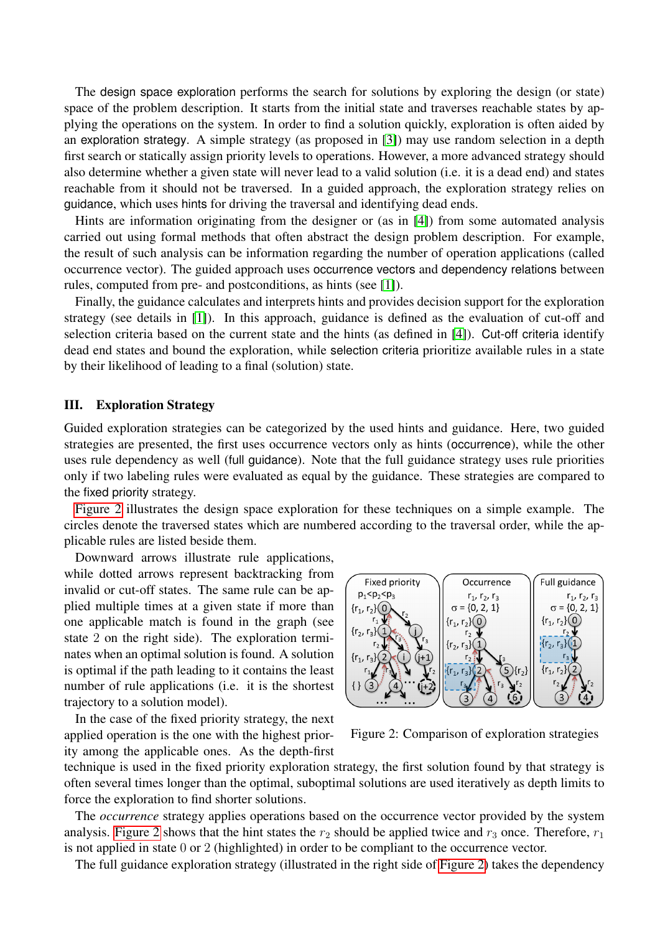The design space exploration performs the search for solutions by exploring the design (or state) space of the problem description. It starts from the initial state and traverses reachable states by applying the operations on the system. In order to find a solution quickly, exploration is often aided by an exploration strategy. A simple strategy (as proposed in [\[3\]](#page-3-2)) may use random selection in a depth first search or statically assign priority levels to operations. However, a more advanced strategy should also determine whether a given state will never lead to a valid solution (i.e. it is a dead end) and states reachable from it should not be traversed. In a guided approach, the exploration strategy relies on guidance, which uses hints for driving the traversal and identifying dead ends.

Hints are information originating from the designer or (as in [\[4\]](#page-3-3)) from some automated analysis carried out using formal methods that often abstract the design problem description. For example, the result of such analysis can be information regarding the number of operation applications (called occurrence vector). The guided approach uses occurrence vectors and dependency relations between rules, computed from pre- and postconditions, as hints (see [\[1\]](#page-3-1)).

Finally, the guidance calculates and interprets hints and provides decision support for the exploration strategy (see details in [\[1\]](#page-3-1)). In this approach, guidance is defined as the evaluation of cut-off and selection criteria based on the current state and the hints (as defined in [\[4\]](#page-3-3)). Cut-off criteria identify dead end states and bound the exploration, while selection criteria prioritize available rules in a state by their likelihood of leading to a final (solution) state.

#### III. Exploration Strategy

Guided exploration strategies can be categorized by the used hints and guidance. Here, two guided strategies are presented, the first uses occurrence vectors only as hints (occurrence), while the other uses rule dependency as well (full guidance). Note that the full guidance strategy uses rule priorities only if two labeling rules were evaluated as equal by the guidance. These strategies are compared to the fixed priority strategy.

[Figure 2](#page-1-0) illustrates the design space exploration for these techniques on a simple example. The circles denote the traversed states which are numbered according to the traversal order, while the applicable rules are listed beside them.

Downward arrows illustrate rule applications, while dotted arrows represent backtracking from invalid or cut-off states. The same rule can be applied multiple times at a given state if more than one applicable match is found in the graph (see state 2 on the right side). The exploration terminates when an optimal solution is found. A solution is optimal if the path leading to it contains the least number of rule applications (i.e. it is the shortest trajectory to a solution model).

In the case of the fixed priority strategy, the next applied operation is the one with the highest priority among the applicable ones. As the depth-first



<span id="page-1-0"></span>Figure 2: Comparison of exploration strategies

technique is used in the fixed priority exploration strategy, the first solution found by that strategy is often several times longer than the optimal, suboptimal solutions are used iteratively as depth limits to force the exploration to find shorter solutions.

The *occurrence* strategy applies operations based on the occurrence vector provided by the system analysis. [Figure 2](#page-1-0) shows that the hint states the  $r_2$  should be applied twice and  $r_3$  once. Therefore,  $r_1$ is not applied in state 0 or 2 (highlighted) in order to be compliant to the occurrence vector.

The full guidance exploration strategy (illustrated in the right side of [Figure 2\)](#page-1-0) takes the dependency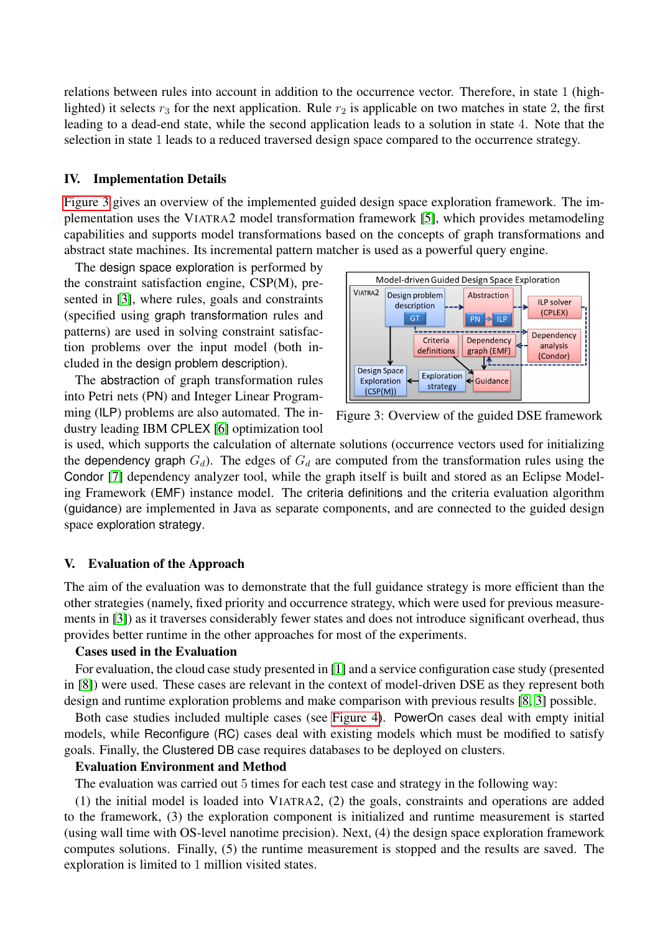relations between rules into account in addition to the occurrence vector. Therefore, in state 1 (highlighted) it selects  $r_3$  for the next application. Rule  $r_2$  is applicable on two matches in state 2, the first leading to a dead-end state, while the second application leads to a solution in state 4. Note that the selection in state 1 leads to a reduced traversed design space compared to the occurrence strategy.

#### IV. Implementation Details

[Figure 3](#page-2-0) gives an overview of the implemented guided design space exploration framework. The implementation uses the VIATRA2 model transformation framework [\[5\]](#page-3-4), which provides metamodeling capabilities and supports model transformations based on the concepts of graph transformations and abstract state machines. Its incremental pattern matcher is used as a powerful query engine.

The design space exploration is performed by the constraint satisfaction engine, CSP(M), presented in [\[3\]](#page-3-2), where rules, goals and constraints (specified using graph transformation rules and patterns) are used in solving constraint satisfaction problems over the input model (both included in the design problem description).

The abstraction of graph transformation rules into Petri nets (PN) and Integer Linear Programming (ILP) problems are also automated. The industry leading IBM CPLEX [\[6\]](#page-3-5) optimization tool



<span id="page-2-0"></span>Figure 3: Overview of the guided DSE framework

is used, which supports the calculation of alternate solutions (occurrence vectors used for initializing the dependency graph  $G_d$ ). The edges of  $G_d$  are computed from the transformation rules using the Condor [\[7\]](#page-3-6) dependency analyzer tool, while the graph itself is built and stored as an Eclipse Modeling Framework (EMF) instance model. The criteria definitions and the criteria evaluation algorithm (guidance) are implemented in Java as separate components, and are connected to the guided design space exploration strategy.

# V. Evaluation of the Approach

The aim of the evaluation was to demonstrate that the full guidance strategy is more efficient than the other strategies (namely, fixed priority and occurrence strategy, which were used for previous measurements in [\[3\]](#page-3-2)) as it traverses considerably fewer states and does not introduce significant overhead, thus provides better runtime in the other approaches for most of the experiments.

# Cases used in the Evaluation

For evaluation, the cloud case study presented in [\[1\]](#page-3-1) and a service configuration case study (presented in [\[8\]](#page-3-7)) were used. These cases are relevant in the context of model-driven DSE as they represent both design and runtime exploration problems and make comparison with previous results [\[8,](#page-3-7) [3\]](#page-3-2) possible.

Both case studies included multiple cases (see [Figure 4\)](#page-3-8). PowerOn cases deal with empty initial models, while Reconfigure (RC) cases deal with existing models which must be modified to satisfy goals. Finally, the Clustered DB case requires databases to be deployed on clusters.

# Evaluation Environment and Method

The evaluation was carried out 5 times for each test case and strategy in the following way:

(1) the initial model is loaded into VIATRA2, (2) the goals, constraints and operations are added to the framework, (3) the exploration component is initialized and runtime measurement is started (using wall time with OS-level nanotime precision). Next, (4) the design space exploration framework computes solutions. Finally, (5) the runtime measurement is stopped and the results are saved. The exploration is limited to 1 million visited states.